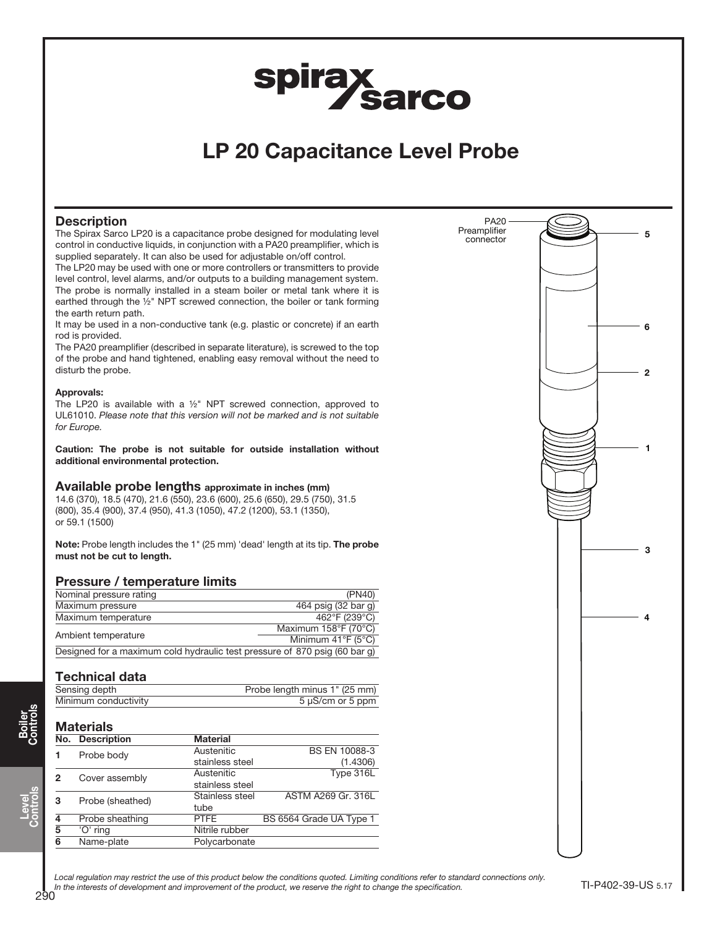# spirax<br>Sarco

## LP 20 Capacitance Level Probe

#### **Description**

The Spirax Sarco LP20 is a capacitance probe designed for modulating level control in conductive liquids, in conjunction with a PA20 preamplifier, which is supplied separately. It can also be used for adjustable on/off control.

The LP20 may be used with one or more controllers or transmitters to provide level control, level alarms, and/or outputs to a building management system. The probe is normally installed in a steam boiler or metal tank where it is earthed through the ½" NPT screwed connection, the boiler or tank forming the earth return path.

It may be used in a non-conductive tank (e.g. plastic or concrete) if an earth rod is provided.

The PA20 preamplifier (described in separate literature), is screwed to the top of the probe and hand tightened, enabling easy removal without the need to disturb the probe.

#### Approvals:

The LP20 is available with a ½" NPT screwed connection, approved to UL61010. Please note that this version will not be marked and is not suitable for Europe.

Caution: The probe is not suitable for outside installation without additional environmental protection.

#### Available probe lengths approximate in inches (mm)

14.6 (370), 18.5 (470), 21.6 (550), 23.6 (600), 25.6 (650), 29.5 (750), 31.5 (800), 35.4 (900), 37.4 (950), 41.3 (1050), 47.2 (1200), 53.1 (1350), or 59.1 (1500)

Note: Probe length includes the 1" (25 mm) 'dead' length at its tip. The probe must not be cut to length.

#### Pressure / temperature limits

| Nominal pressure rating                                                    | (PN40)                                  |  |
|----------------------------------------------------------------------------|-----------------------------------------|--|
| Maximum pressure                                                           | 464 psig (32 bar g)                     |  |
| Maximum temperature                                                        | 462°F (239°C)                           |  |
|                                                                            | Maximum 158°F (70°C)                    |  |
| Ambient temperature                                                        | Minimum $41^{\circ}$ F (5 $^{\circ}$ C) |  |
| Designed for a maximum cold hydraulic test pressure of 870 psig (60 bar g) |                                         |  |

#### Technical data

| Sensing depth        | Probe length minus 1" (25 mm) |
|----------------------|-------------------------------|
| Minimum conductivity | 5 µS/cm or 5 ppm              |

### **Materials**

|   | No. Description  | <b>Material</b> |                         |
|---|------------------|-----------------|-------------------------|
|   | Probe body       | Austenitic      | <b>BS EN 10088-3</b>    |
|   |                  | stainless steel | (1.4306)                |
| 2 | Cover assembly   | Austenitic      | Type 316L               |
|   |                  | stainless steel |                         |
| 3 | Probe (sheathed) | Stainless steel | ASTM A269 Gr. 316L      |
|   |                  | tube            |                         |
| 4 | Probe sheathing  | <b>PTFE</b>     | BS 6564 Grade UA Type 1 |
| 5 | 'O' ring         | Nitrile rubber  |                         |
| 6 | Name-plate       | Polycarbonate   |                         |



Local regulation may restrict the use of this product below the conditions quoted. Limiting conditions refer to standard connections only. In the interests of development and improvement of the product, we reserve the right to change the specification.

Boiler Controls